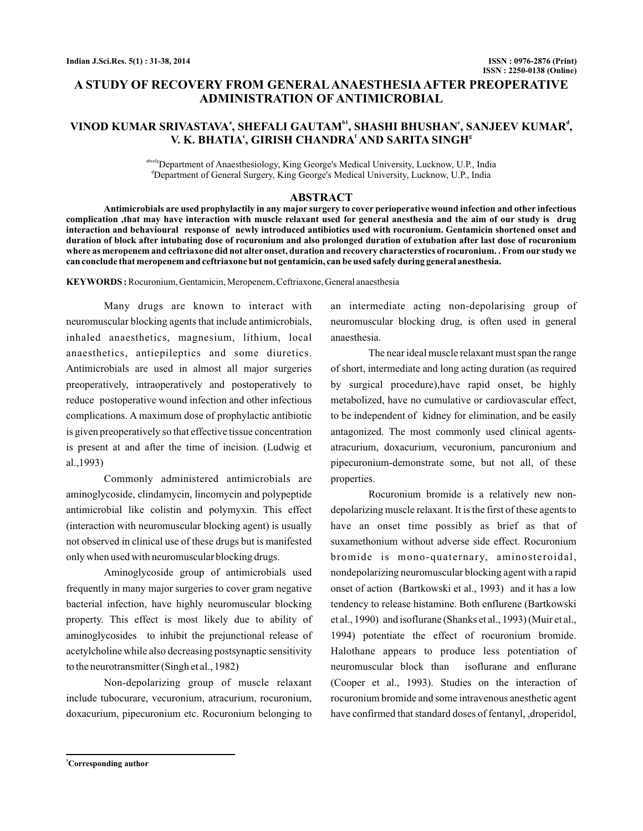# **A STUDY OF RECOVERY FROM GENERAL ANAESTHESIA AFTER PREOPERATIVE ADMINISTRATION OF ANTIMICROBIAL**

# <code>VINOD</code> KUMAR SRIVASTAVA\*, SHEFALI GAUTAM $^{\text{b1}}$ , SHASHI BHUSHAN', SANJEEV KUMAR',  $V$ **. K. BHATIA°, GIRISH CHANDRA' AND SARITA SINGH<sup>®</sup>**

abcefg Department of Anaesthesiology, King George's Medical University, Lucknow, U.P., India d Department of General Surgery, King George's Medical University, Lucknow, U.P., India

#### **ABSTRACT**

**Antimicrobials are used prophylactily in any major surgery to cover perioperative wound infection and other infectious complication ,that may have interaction with muscle relaxant used for general anesthesia and the aim of our study is drug interaction and behavioural response of newly introduced antibiotics used with rocuronium. Gentamicin shortened onset and duration of block after intubating dose of rocuronium and also prolonged duration of extubation after last dose of rocuronium where as meropenem and ceftriaxone did not alter onset, duration and recovery characterstics of rocuronium. . From our study we can conclude that meropenem and ceftriaxone but not gentamicin, can be used safely during general anesthesia.**

**KEYWORDS :**Rocuronium, Gentamicin, Meropenem, Ceftriaxone, General anaesthesia

Many drugs are known to interact with neuromuscular blocking agents that include antimicrobials, inhaled anaesthetics, magnesium, lithium, local anaesthetics, antiepileptics and some diuretics. Antimicrobials are used in almost all major surgeries preoperatively, intraoperatively and postoperatively to reduce postoperative wound infection and other infectious complications. A maximum dose of prophylactic antibiotic is given preoperatively so that effective tissue concentration is present at and after the time of incision. (Ludwig et al.,1993)

Commonly administered antimicrobials are aminoglycoside, clindamycin, lincomycin and polypeptide antimicrobial like colistin and polymyxin. This effect (interaction with neuromuscular blocking agent) is usually not observed in clinical use of these drugs but is manifested only when used with neuromuscular blocking drugs.

Aminoglycoside group of antimicrobials used frequently in many major surgeries to cover gram negative bacterial infection, have highly neuromuscular blocking property. This effect is most likely due to ability of aminoglycosides to inhibit the prejunctional release of acetylcholine while also decreasing postsynaptic sensitivity to the neurotransmitter (Singh et al., 1982)

Non-depolarizing group of muscle relaxant include tubocurare, vecuronium, atracurium, rocuronium, doxacurium, pipecuronium etc. Rocuronium belonging to an intermediate acting non-depolarising group of neuromuscular blocking drug, is often used in general anaesthesia.

The near ideal muscle relaxant must span the range of short, intermediate and long acting duration (as required by surgical procedure),have rapid onset, be highly metabolized, have no cumulative or cardiovascular effect, to be independent of kidney for elimination, and be easily antagonized. The most commonly used clinical agentsatracurium, doxacurium, vecuronium, pancuronium and pipecuronium-demonstrate some, but not all, of these properties.

Rocuronium bromide is a relatively new nondepolarizing muscle relaxant. It is the first of these agents to have an onset time possibly as brief as that of suxamethonium without adverse side effect. Rocuronium bromide is mono-quaternary, aminosteroidal, nondepolarizing neuromuscular blocking agent with a rapid onset of action (Bartkowski et al., 1993) and it has a low tendency to release histamine. Both enflurene (Bartkowski et al., 1990) and isoflurane (Shanks et al., 1993) (Muir et al., 1994) potentiate the effect of rocuronium bromide. Halothane appears to produce less potentiation of neuromuscular block than isoflurane and enflurane (Cooper et al., 1993). Studies on the interaction of rocuronium bromide and some intravenous anesthetic agent have confirmed that standard doses of fentanyl, ,droperidol,

**<sup>1</sup>Corresponding author**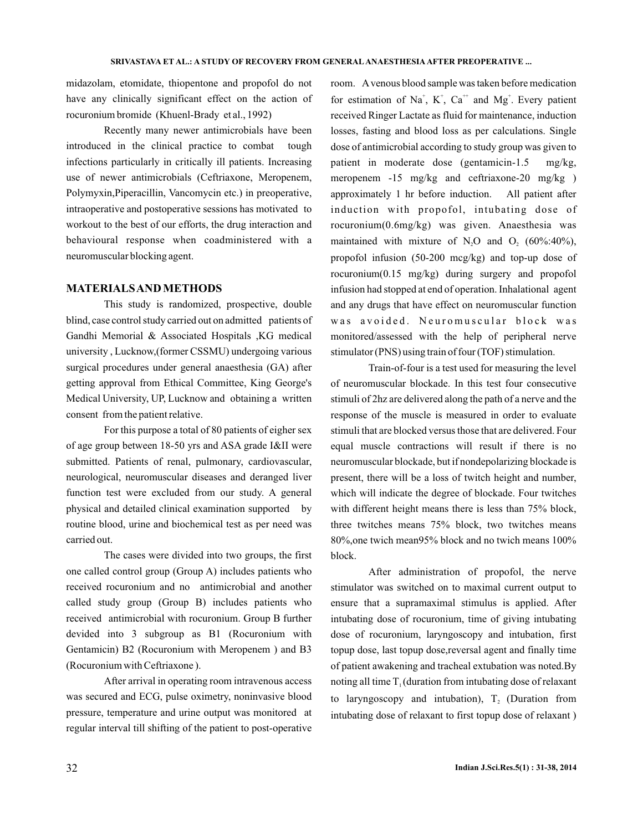midazolam, etomidate, thiopentone and propofol do not have any clinically significant effect on the action of rocuronium bromide (Khuenl-Brady et al., 1992)

Recently many newer antimicrobials have been introduced in the clinical practice to combat tough infections particularly in critically ill patients. Increasing use of newer antimicrobials (Ceftriaxone, Meropenem, Polymyxin,Piperacillin, Vancomycin etc.) in preoperative, intraoperative and postoperative sessions has motivated to workout to the best of our efforts, the drug interaction and behavioural response when coadministered with a neuromuscular blocking agent.

#### **MATERIALSAND METHODS**

This study is randomized, prospective, double blind, case control study carried out on admitted patients of Gandhi Memorial & Associated Hospitals ,KG medical university , Lucknow,(former CSSMU) undergoing various surgical procedures under general anaesthesia (GA) after getting approval from Ethical Committee, King George's Medical University, UP, Lucknow and obtaining a written consent from the patient relative.

For this purpose a total of 80 patients of eigher sex of age group between 18-50 yrs and ASA grade I&II were submitted. Patients of renal, pulmonary, cardiovascular, neurological, neuromuscular diseases and deranged liver function test were excluded from our study. A general physical and detailed clinical examination supported by routine blood, urine and biochemical test as per need was carried out.

The cases were divided into two groups, the first one called control group (Group A) includes patients who received rocuronium and no antimicrobial and another called study group (Group B) includes patients who received antimicrobial with rocuronium. Group B further devided into 3 subgroup as B1 (Rocuronium with Gentamicin) B2 (Rocuronium with Meropenem ) and B3 (Rocuronium with Ceftriaxone ).

After arrival in operating room intravenous access was secured and ECG, pulse oximetry, noninvasive blood pressure, temperature and urine output was monitored at regular interval till shifting of the patient to post-operative

room. A venous blood sample was taken before medication for estimation of Na<sup>+</sup>, K<sup>+</sup>, Ca<sup>++</sup> and Mg<sup>+</sup>. Every patient received Ringer Lactate as fluid for maintenance, induction losses, fasting and blood loss as per calculations. Single dose of antimicrobial according to study group was given to patient in moderate dose (gentamicin-1.5 mg/kg, meropenem -15 mg/kg and ceftriaxone-20 mg/kg ) approximately 1 hr before induction. All patient after induction with propofol, intubating dose of rocuronium(0.6mg/kg) was given. Anaesthesia was maintained with mixture of N<sub>2</sub>O and O<sub>2</sub> (60%:40%), propofol infusion (50-200 mcg/kg) and top-up dose of rocuronium(0.15 mg/kg) during surgery and propofol infusion had stopped at end of operation. Inhalational agent and any drugs that have effect on neuromuscular function was avoided. Neuromuscular block was monitored/assessed with the help of peripheral nerve stimulator (PNS) using train of four (TOF) stimulation.

Train-of-four is a test used for measuring the level of neuromuscular blockade. In this test four consecutive stimuli of 2hz are delivered along the path of a nerve and the response of the muscle is measured in order to evaluate stimuli that are blocked versus those that are delivered. Four equal muscle contractions will result if there is no neuromuscular blockade, but if nondepolarizing blockade is present, there will be a loss of twitch height and number, which will indicate the degree of blockade. Four twitches with different height means there is less than 75% block, three twitches means 75% block, two twitches means 80%,one twich mean95% block and no twich means 100% block.

After administration of propofol, the nerve stimulator was switched on to maximal current output to ensure that a supramaximal stimulus is applied. After intubating dose of rocuronium, time of giving intubating dose of rocuronium, laryngoscopy and intubation, first topup dose, last topup dose,reversal agent and finally time of patient awakening and tracheal extubation was noted.By noting all time  $T_1$  (duration from intubating dose of relaxant to laryngoscopy and intubation),  $T_2$  (Duration from intubating dose of relaxant to first topup dose of relaxant )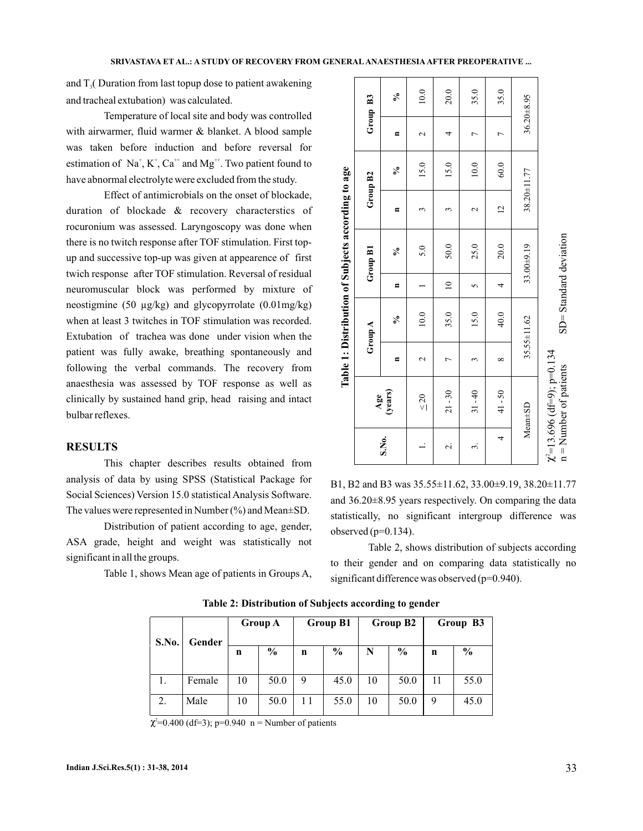and  $T_3$  Duration from last topup dose to patient awakening and tracheal extubation) was calculated.

Temperature of local site and body was controlled with airwarmer, fluid warmer & blanket. A blood sample was taken before induction and before reversal for estimation of  $\mathrm{Na}^+$ ,  $\mathrm{K}^+$ ,  $\mathrm{Ca}^{++}$  and  $\mathrm{Mg}^{++}$ . Two patient found to have abnormal electrolyte were excluded from the study.

Effect of antimicrobials on the onset of blockade, duration of blockade & recovery characterstics of rocuronium was assessed. Laryngoscopy was done when there is no twitch response after TOF stimulation. First topup and successive top-up was given at appearence of first twich response after TOF stimulation. Reversal of residual neuromuscular block was performed by mixture of neostigmine (50 µg/kg) and glycopyrrolate (0.01mg/kg) when at least 3 twitches in TOF stimulation was recorded. Extubation of trachea was done under vision when the patient was fully awake, breathing spontaneously and following the verbal commands. The recovery from anaesthesia was assessed by TOF response as well as clinically by sustained hand grip, head raising and intact bulbar reflexes.

## **RESULTS**

This chapter describes results obtained from analysis of data by using SPSS (Statistical Package for Social Sciences) Version 15.0 statistical Analysis Software. The values were represented in Number  $(\% )$  and Mean $\pm$ SD.

Distribution of patient according to age, gender, ASA grade, height and weight was statistically not significant in all the groups.

Table 1, shows Mean age of patients in Groups A,

|                          |                                                              |                 | Table 1: Distribution of Subjects according to age |                 |                       |                |                   |                 |            |
|--------------------------|--------------------------------------------------------------|-----------------|----------------------------------------------------|-----------------|-----------------------|----------------|-------------------|-----------------|------------|
|                          | Age                                                          |                 | Group A                                            |                 | Group B1              |                | Group B2          |                 | Group B3   |
| S.No.                    | (years)                                                      | $\blacksquare$  | న్                                                 | Ξ               | ২ৎ                    | Ξ              | న                 | Ξ               | ℅          |
|                          | $\leq 20$                                                    | $\mathbf{\sim}$ | 10.0                                               |                 | 5.0                   | 3              | 15.0              | $\mathbf{\sim}$ | 10.0       |
| $\overline{\mathcal{C}}$ | $21 - 30$                                                    | Γ               | 35.0                                               | $\overline{10}$ | 50.0                  | 3              | 15.0              | 4               | 20.0       |
| 3.                       | $31 - 40$                                                    | 3               | 15.0                                               | 5               | 25.0                  | 2              | 10.0              | $\overline{ }$  | 35.0       |
| 4                        | $41 - 50$                                                    | $\infty$        | 40.0                                               | 4               | 20.0                  | $\overline{c}$ | 60.0              | $\overline{a}$  | 35.0       |
|                          | Mean±SD                                                      |                 | $35.55 \pm 11.62$                                  |                 | $33.00 + 9.19$        |                | $38.20 \pm 11.77$ |                 | 36.20±8.95 |
|                          | $\chi^2$ =13.696 (df=9); p=0.134<br>$n =$ Number of patients |                 |                                                    |                 | SD=Standard deviation |                |                   |                 |            |

B1, B2 and B3 was 35.55±11.62, 33.00±9.19, 38.20±11.77 and 36.20±8.95 years respectively. On comparing the data statistically, no significant intergroup difference was observed  $(p=0.134)$ .

Table 2, shows distribution of subjects according to their gender and on comparing data statistically no significant difference was observed (p=0.940).

| S.No. | Gender |    | <b>Group A</b> |   | Group B1 |    | Group B <sub>2</sub> |    | Group B3      |
|-------|--------|----|----------------|---|----------|----|----------------------|----|---------------|
|       |        | n  | $\frac{0}{0}$  | n | $\%$     | N  | $\frac{6}{9}$        | n  | $\frac{6}{9}$ |
| 1.    | Female | 10 | 50.0           | 9 | 45.0     | 10 | 50.0                 | 11 | 55.0          |
| 2.    | Male   | 10 | 50.0           |   | 55.0     | 10 | 50.0                 | 9  | 45.0          |

**Table 2: Distribution of Subjects according to gender**

 $\mu^2$ =0.400 (df=3); p=0.940 n = Number of patients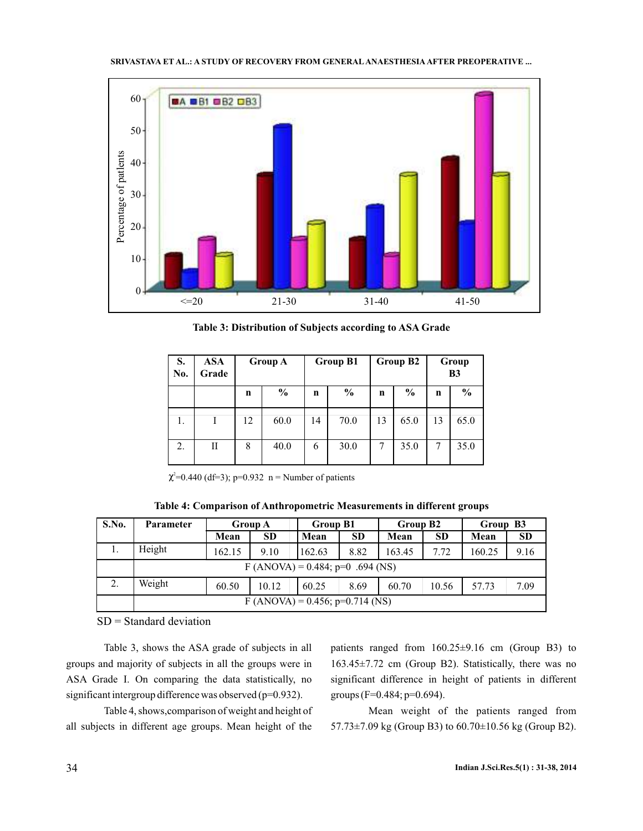

**Table 3: Distribution of Subjects according to ASA Grade**

| S.<br>No. | <b>ASA</b><br>Grade |    | <b>Group A</b> |    | <b>Group B1</b> |    | Group B <sub>2</sub> |             | Group<br>B <sub>3</sub> |
|-----------|---------------------|----|----------------|----|-----------------|----|----------------------|-------------|-------------------------|
|           |                     | n  | $\frac{0}{0}$  | n  | $\frac{0}{0}$   | n  | $\%$                 | $\mathbf n$ | $\frac{6}{9}$           |
| 1.        |                     | 12 | 60.0           | 14 | 70.0            | 13 | 65.0                 | 13          | 65.0                    |
| 2.        | П                   | 8  | 40.0           | 6  | 30.0            |    | 35.0                 | 7           | 35.0                    |

 $e^2$ =0.440 (df=3); p=0.932 n = Number of patients

**Table 4: Comparison of Anthropometric Measurements in different groups**

| S.No. | <b>Parameter</b> |                                  | <b>Group A</b>                     |  | <b>Group B1</b> |           | Group B <sub>2</sub> |           | Group B3 |           |  |  |
|-------|------------------|----------------------------------|------------------------------------|--|-----------------|-----------|----------------------|-----------|----------|-----------|--|--|
|       |                  | Mean                             | <b>SD</b>                          |  | Mean            | <b>SD</b> | Mean                 | <b>SD</b> | Mean     | <b>SD</b> |  |  |
| 1.    | Height           | 162.15                           | 9.10                               |  | 162.63          | 8.82      | 163.45               | 7.72      | 160.25   | 9.16      |  |  |
|       |                  | F (ANOVA) = 0.484; p=0 .694 (NS) |                                    |  |                 |           |                      |           |          |           |  |  |
| 2.    | Weight           | 60.50                            | 10.12                              |  | 60.25           | 8.69      | 60.70                | 10.56     | 57.73    | 7.09      |  |  |
|       |                  |                                  | $F (ANOVA) = 0.456$ ; p=0.714 (NS) |  |                 |           |                      |           |          |           |  |  |

 $SD = Standard deviation$ 

Table 3, shows the ASA grade of subjects in all groups and majority of subjects in all the groups were in ASA Grade I. On comparing the data statistically, no significant intergroup difference was observed (p=0.932).

Table 4, shows,comparison of weight and height of all subjects in different age groups. Mean height of the

patients ranged from 160.25±9.16 cm (Group B3) to 163.45±7.72 cm (Group B2). Statistically, there was no significant difference in height of patients in different groups (F=0.484; p=0.694).

Mean weight of the patients ranged from 57.73±7.09 kg (Group B3) to 60.70±10.56 kg (Group B2).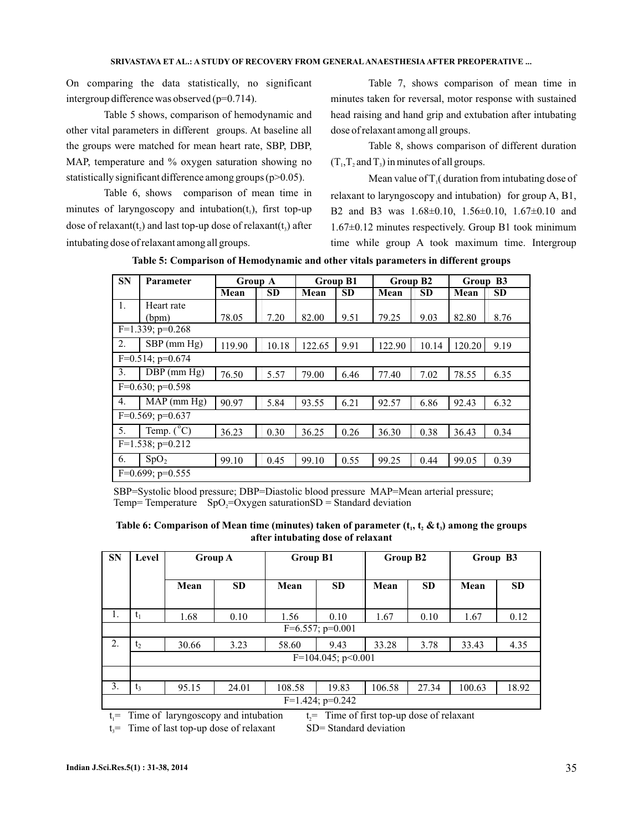On comparing the data statistically, no significant intergroup difference was observed (p=0.714).

Table 5 shows, comparison of hemodynamic and other vital parameters in different groups. At baseline all the groups were matched for mean heart rate, SBP, DBP, MAP, temperature and % oxygen saturation showing no statistically significant difference among groups (p>0.05).

Table 6, shows comparison of mean time in minutes of laryngoscopy and intubation $(t_1)$ , first top-up dose of relaxant(t<sub>2</sub>) and last top-up dose of relaxant(t<sub>3</sub>) after intubating dose of relaxant among all groups.

Table 7, shows comparison of mean time in minutes taken for reversal, motor response with sustained head raising and hand grip and extubation after intubating dose of relaxant among all groups.

Table 8, shows comparison of different duration  $(T_1, T_2, and T_3)$  in minutes of all groups.

Mean value of  $T_1$  (duration from intubating dose of relaxant to laryngoscopy and intubation) for group A, B1, B2 and B3 was 1.68±0.10, 1.56±0.10, 1.67±0.10 and  $1.67\pm0.12$  minutes respectively. Group B1 took minimum time while group A took maximum time. Intergroup

| <b>SN</b> | Parameter                | <b>Group A</b> |           |        | <b>Group B1</b> | Group B <sub>2</sub> |           | Group B3 |           |
|-----------|--------------------------|----------------|-----------|--------|-----------------|----------------------|-----------|----------|-----------|
|           |                          | Mean           | <b>SD</b> | Mean   | <b>SD</b>       | Mean                 | <b>SD</b> | Mean     | <b>SD</b> |
| 1.        | Heart rate               |                |           |        |                 |                      |           |          |           |
|           | (bpm)                    | 78.05          | 7.20      | 82.00  | 9.51            | 79.25                | 9.03      | 82.80    | 8.76      |
|           | $F=1.339; p=0.268$       |                |           |        |                 |                      |           |          |           |
| 2.        | $SBP$ (mm $Hg$ )         | 119.90         | 10.18     | 122.65 | 9.91            | 122.90               | 10.14     | 120.20   | 9.19      |
|           | $F=0.514$ ; p=0.674      |                |           |        |                 |                      |           |          |           |
| 3.        | $DBP$ (mm $Hg$ )         | 76.50          | 5.57      | 79.00  | 6.46            | 77.40                | 7.02      | 78.55    | 6.35      |
|           | $F=0.630; p=0.598$       |                |           |        |                 |                      |           |          |           |
| 4.        | $\overline{MAP}$ (mm Hg) | 90.97          | 5.84      | 93.55  | 6.21            | 92.57                | 6.86      | 92.43    | 6.32      |
|           | $F=0.569$ ; p=0.637      |                |           |        |                 |                      |           |          |           |
| 5.        | Temp. $(^{\circ}C)$      | 36.23          | 0.30      | 36.25  | 0.26            | 36.30                | 0.38      | 36.43    | 0.34      |
|           | $F=1.538$ ; $p=0.212$    |                |           |        |                 |                      |           |          |           |
| 6.        | SpO <sub>2</sub>         | 99.10          | 0.45      | 99.10  | 0.55            | 99.25                | 0.44      | 99.05    | 0.39      |
|           | $F=0.699$ ; $p=0.555$    |                |           |        |                 |                      |           |          |           |

**Table 5: Comparison of Hemodynamic and other vitals parameters in different groups**

SBP=Systolic blood pressure; DBP=Diastolic blood pressure MAP=Mean arterial pressure; Temp= Temperature SpO<sub>2</sub>=Oxygen saturationSD = Standard deviation

| Table 6: Comparison of Mean time (minutes) taken of parameter $(t_1, t_2 \& t_3)$ among the groups |
|----------------------------------------------------------------------------------------------------|
| after intubating dose of relaxant                                                                  |

| <b>SN</b> | Level               |       | <b>Group A</b> | <b>Group B1</b> |                       | Group B2 |           | Group B3 |           |  |
|-----------|---------------------|-------|----------------|-----------------|-----------------------|----------|-----------|----------|-----------|--|
|           |                     | Mean  | <b>SD</b>      | Mean            | <b>SD</b>             | Mean     | <b>SD</b> | Mean     | <b>SD</b> |  |
| 1.        | $t_1$               | 1.68  | 0.10           | 1.56            | 0.10                  | 1.67     | 0.10      | 1.67     | 0.12      |  |
|           | $F=6.557$ ; p=0.001 |       |                |                 |                       |          |           |          |           |  |
| 2.        | $t_2$               | 30.66 | 3.23           | 58.60           | 9.43                  | 33.28    | 3.78      | 33.43    | 4.35      |  |
|           |                     |       |                |                 | $F=104.045$ ; p<0.001 |          |           |          |           |  |
|           |                     |       |                |                 |                       |          |           |          |           |  |
| 3.        | $t_3$               | 95.15 | 24.01          | 108.58          | 19.83                 | 106.58   | 27.34     | 100.63   | 18.92     |  |
|           |                     |       |                |                 | $F=1.424$ ; p=0.242   |          |           |          |           |  |

 $t_1$ = Time of laryngoscopy and intubation  $t_2$ = Time of first top-up dose of relaxant

 $t_3$  = Time of last top-up dose of relaxant SD = Standard deviation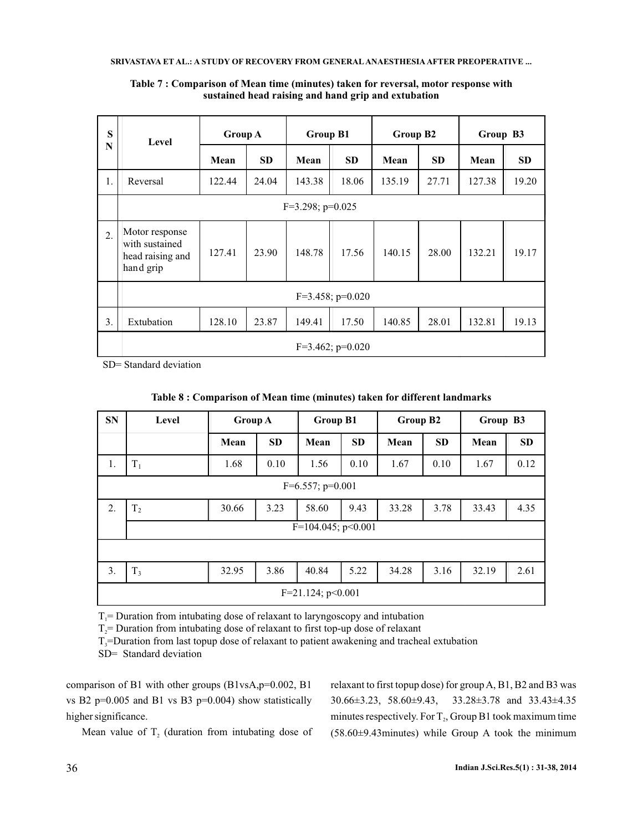#### **SRIVASTAVA ET AL.: A STUDY OF RECOVERY FROM GENERAL ANAESTHESIA AFTER PREOPERATIVE ...**

| S                  | Level                                                             | <b>Group A</b> |           | <b>Group B1</b>       |                       | Group B2 |           | Group B3 |           |
|--------------------|-------------------------------------------------------------------|----------------|-----------|-----------------------|-----------------------|----------|-----------|----------|-----------|
| $\overline{\bf N}$ |                                                                   | Mean           | <b>SD</b> | Mean                  | <b>SD</b>             | Mean     | <b>SD</b> | Mean     | <b>SD</b> |
| 1.                 | Reversal                                                          | 122.44         | 24.04     | 143.38                | 18.06                 | 135.19   | 27.71     | 127.38   | 19.20     |
|                    |                                                                   |                |           | $F=3.298$ ; $p=0.025$ |                       |          |           |          |           |
| 2.                 | Motor response<br>with sustained<br>head raising and<br>hand grip | 127.41         | 23.90     | 148.78                | 17.56                 | 140.15   | 28.00     | 132.21   | 19.17     |
|                    |                                                                   |                |           |                       | $F=3.458$ ; $p=0.020$ |          |           |          |           |
| 3.                 | Extubation                                                        | 128.10         | 23.87     | 149.41                | 17.50                 | 140.85   | 28.01     | 132.81   | 19.13     |
|                    |                                                                   |                |           |                       | $F=3.462$ ; $p=0.020$ |          |           |          |           |

### **Table 7 : Comparison of Mean time (minutes) taken for reversal, motor response with sustained head raising and hand grip and extubation**

SD= Standard deviation

| <b>SN</b> | Level          | <b>Group A</b> |           | <b>Group B1</b>       |           | Group B2 |           | Group B3 |           |
|-----------|----------------|----------------|-----------|-----------------------|-----------|----------|-----------|----------|-----------|
|           |                | Mean           | <b>SD</b> | Mean                  | <b>SD</b> | Mean     | <b>SD</b> | Mean     | <b>SD</b> |
| 1.        | $T_1$          | 1.68           | 0.10      | 1.56                  | 0.10      | 1.67     | 0.10      | 1.67     | 0.12      |
|           |                |                |           | $F=6.557$ ; p=0.001   |           |          |           |          |           |
| 2.        | T <sub>2</sub> | 30.66          | 3.23      | 58.60                 | 9.43      | 33.28    | 3.78      | 33.43    | 4.35      |
|           |                |                |           | $F=104.045$ ; p<0.001 |           |          |           |          |           |
|           |                |                |           |                       |           |          |           |          |           |
| 3.        | $T_3$          | 32.95          | 3.86      | 40.84                 | 5.22      | 34.28    | 3.16      | 32.19    | 2.61      |
|           |                |                |           | $F=21.124$ ; p<0.001  |           |          |           |          |           |

# **Table 8 : Comparison of Mean time (minutes) taken for different landmarks**

 $T_i$ = Duration from intubating dose of relaxant to laryngoscopy and intubation

 $T_2$ = Duration from intubating dose of relaxant to first top-up dose of relaxant

 $T_3$ =Duration from last topup dose of relaxant to patient awakening and tracheal extubation

SD= Standard deviation

comparison of B1 with other groups (B1vsA,p=0.002, B1 vs B2 p=0.005 and B1 vs B3 p=0.004) show statistically higher significance.

Mean value of  $T_2$  (duration from intubating dose of

relaxant to first topup dose) for group A, B1, B2 and B3 was 30.66±3.23, 58.60±9.43, 33.28±3.78 and 33.43±4.35 minutes respectively. For  $T_2$ , Group B1 took maximum time (58.60±9.43minutes) while Group A took the minimum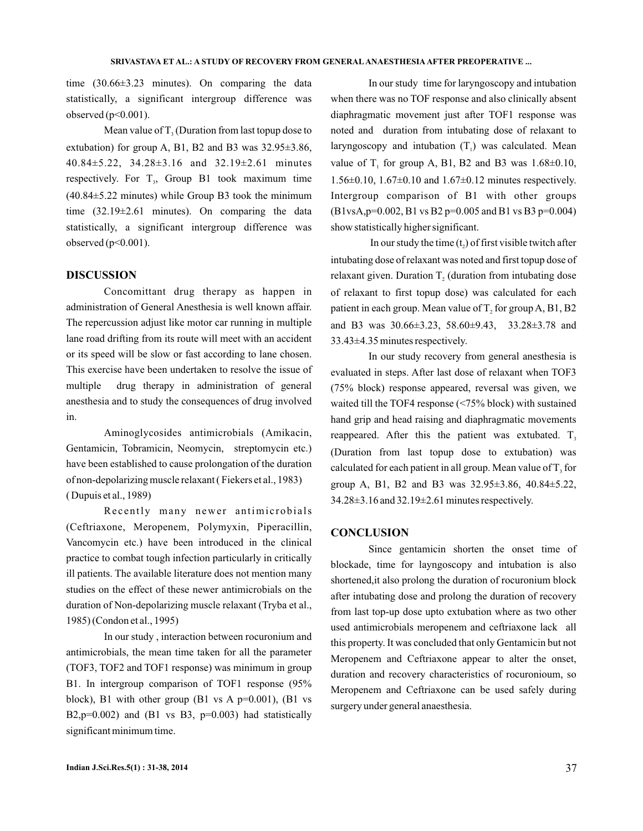time (30.66±3.23 minutes). On comparing the data statistically, a significant intergroup difference was observed (p<0.001).

Mean value of  $T_3$  (Duration from last topup dose to extubation) for group A, B1, B2 and B3 was  $32.95 \pm 3.86$ , 40.84±5.22, 34.28±3.16 and 32.19±2.61 minutes respectively. For  $T_3$ , Group B1 took maximum time (40.84±5.22 minutes) while Group B3 took the minimum time (32.19±2.61 minutes). On comparing the data statistically, a significant intergroup difference was observed (p<0.001).

### **DISCUSSION**

Concomittant drug therapy as happen in administration of General Anesthesia is well known affair. The repercussion adjust like motor car running in multiple lane road drifting from its route will meet with an accident or its speed will be slow or fast according to lane chosen. This exercise have been undertaken to resolve the issue of multiple drug therapy in administration of general anesthesia and to study the consequences of drug involved in.

Aminoglycosides antimicrobials (Amikacin, Gentamicin, Tobramicin, Neomycin, streptomycin etc.) have been established to cause prolongation of the duration of non-depolarizing muscle relaxant ( Fiekers et al., 1983) ( Dupuis et al., 1989)

Recently many newer antimicrobials (Ceftriaxone, Meropenem, Polymyxin, Piperacillin, Vancomycin etc.) have been introduced in the clinical practice to combat tough infection particularly in critically ill patients. The available literature does not mention many studies on the effect of these newer antimicrobials on the duration of Non-depolarizing muscle relaxant (Tryba et al., 1985) (Condon et al., 1995)

In our study , interaction between rocuronium and antimicrobials, the mean time taken for all the parameter (TOF3, TOF2 and TOF1 response) was minimum in group B1. In intergroup comparison of TOF1 response (95% block), B1 with other group  $(B1 \text{ vs } A \text{ p=0.001})$ ,  $(B1 \text{ vs } A \text{ p=0.001})$ B2,p=0.002) and (B1 vs B3, p=0.003) had statistically significant minimum time.

In our study time for laryngoscopy and intubation when there was no TOF response and also clinically absent diaphragmatic movement just after TOF1 response was noted and duration from intubating dose of relaxant to laryngoscopy and intubation  $(T_1)$  was calculated. Mean value of  $T_1$  for group A, B1, B2 and B3 was  $1.68 \pm 0.10$ , 1.56±0.10, 1.67±0.10 and 1.67±0.12 minutes respectively. Intergroup comparison of B1 with other groups (B1vsA,p=0.002, B1 vs B2 p=0.005 and B1 vs B3 p=0.004) show statistically higher significant.

In our study the time  $(t_2)$  of first visible twitch after intubating dose of relaxant was noted and first topup dose of relaxant given. Duration  $T_2$  (duration from intubating dose of relaxant to first topup dose) was calculated for each patient in each group. Mean value of  $T_2$  for group A, B1, B2 and B3 was 30.66±3.23, 58.60±9.43, 33.28±3.78 and 33.43±4.35 minutes respectively.

In our study recovery from general anesthesia is evaluated in steps. After last dose of relaxant when TOF3 (75% block) response appeared, reversal was given, we waited till the TOF4 response (<75% block) with sustained hand grip and head raising and diaphragmatic movements reappeared. After this the patient was extubated.  $T_3$ (Duration from last topup dose to extubation) was calculated for each patient in all group. Mean value of  $T_3$  for group A, B1, B2 and B3 was 32.95±3.86, 40.84±5.22, 34.28±3.16 and 32.19±2.61 minutes respectively.

#### **CONCLUSION**

Since gentamicin shorten the onset time of blockade, time for layngoscopy and intubation is also shortened,it also prolong the duration of rocuronium block after intubating dose and prolong the duration of recovery from last top-up dose upto extubation where as two other used antimicrobials meropenem and ceftriaxone lack all this property. It was concluded that only Gentamicin but not Meropenem and Ceftriaxone appear to alter the onset, duration and recovery characteristics of rocuronioum, so Meropenem and Ceftriaxone can be used safely during surgery under general anaesthesia.